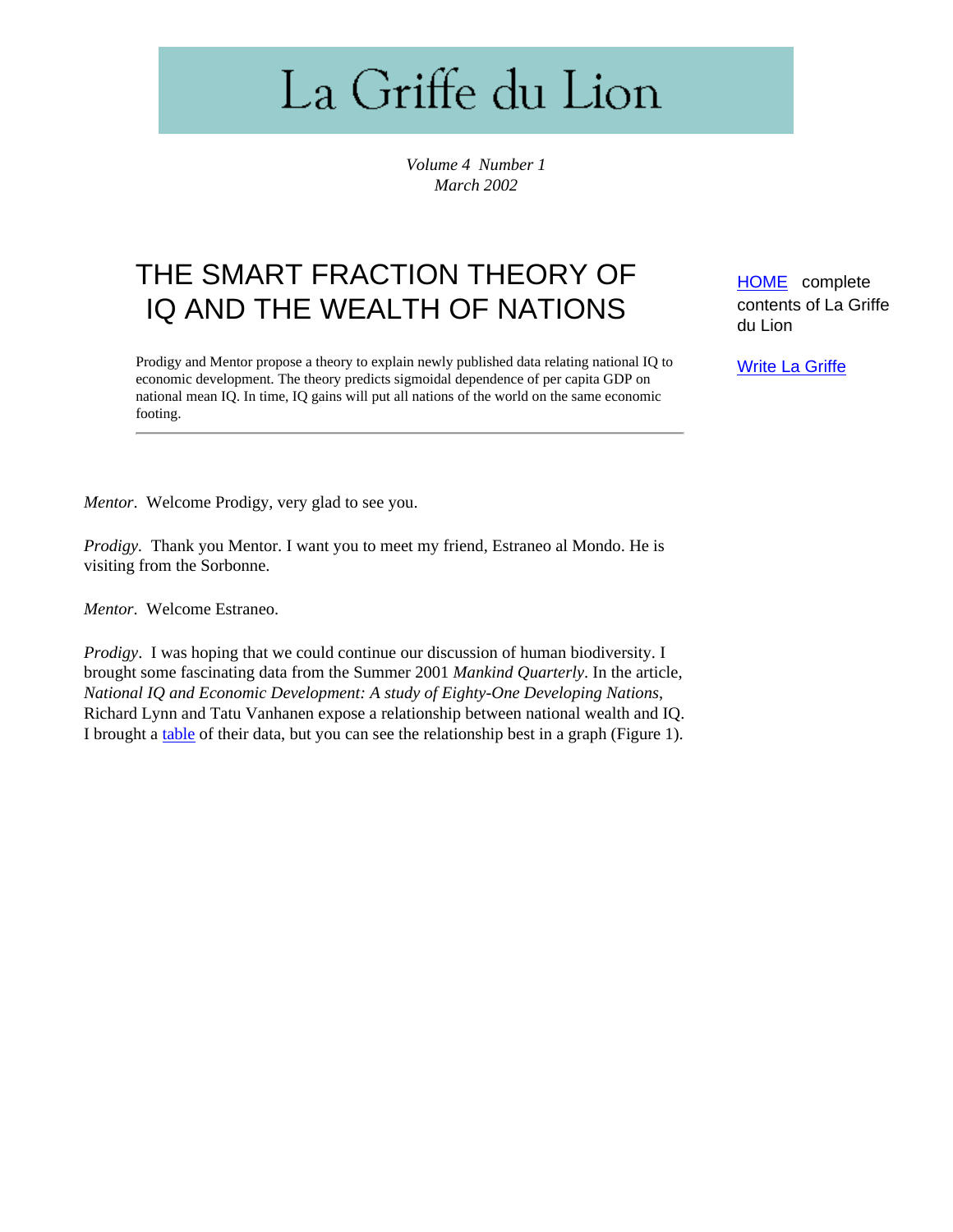# La Griffe du Lion

*Volume 4 Number 1 March 2002*

# THE SMART FRACTION THEORY OF IQ AND THE WEALTH OF NATIONS

Prodigy and Mentor propose a theory to explain newly published data relating national IQ to economic development. The theory predicts sigmoidal dependence of per capita GDP on national mean IQ. In time, IQ gains will put all nations of the world on the same economic footing.

[HOME](http://www.lagriffedulion.f2s.com/index.html) complete contents of La Griffe du Lion

**[Write La Griffe](mailto:il_leone_uno@yahoo.com)** 

*Mentor*. Welcome Prodigy, very glad to see you.

*Prodigy.* Thank you Mentor. I want you to meet my friend, Estraneo al Mondo. He is visiting from the Sorbonne.

*Mentor*. Welcome Estraneo.

*Prodigy*. I was hoping that we could continue our discussion of human biodiversity. I brought some fascinating data from the Summer 2001 *Mankind Quarterly*. In the article, *National IQ and Economic Development: A study of Eighty-One Developing Nations*, Richard Lynn and Tatu Vanhanen expose a relationship between national wealth and IQ. I brought a [table](#page-9-0) of their data, but you can see the relationship best in a graph (Figure 1).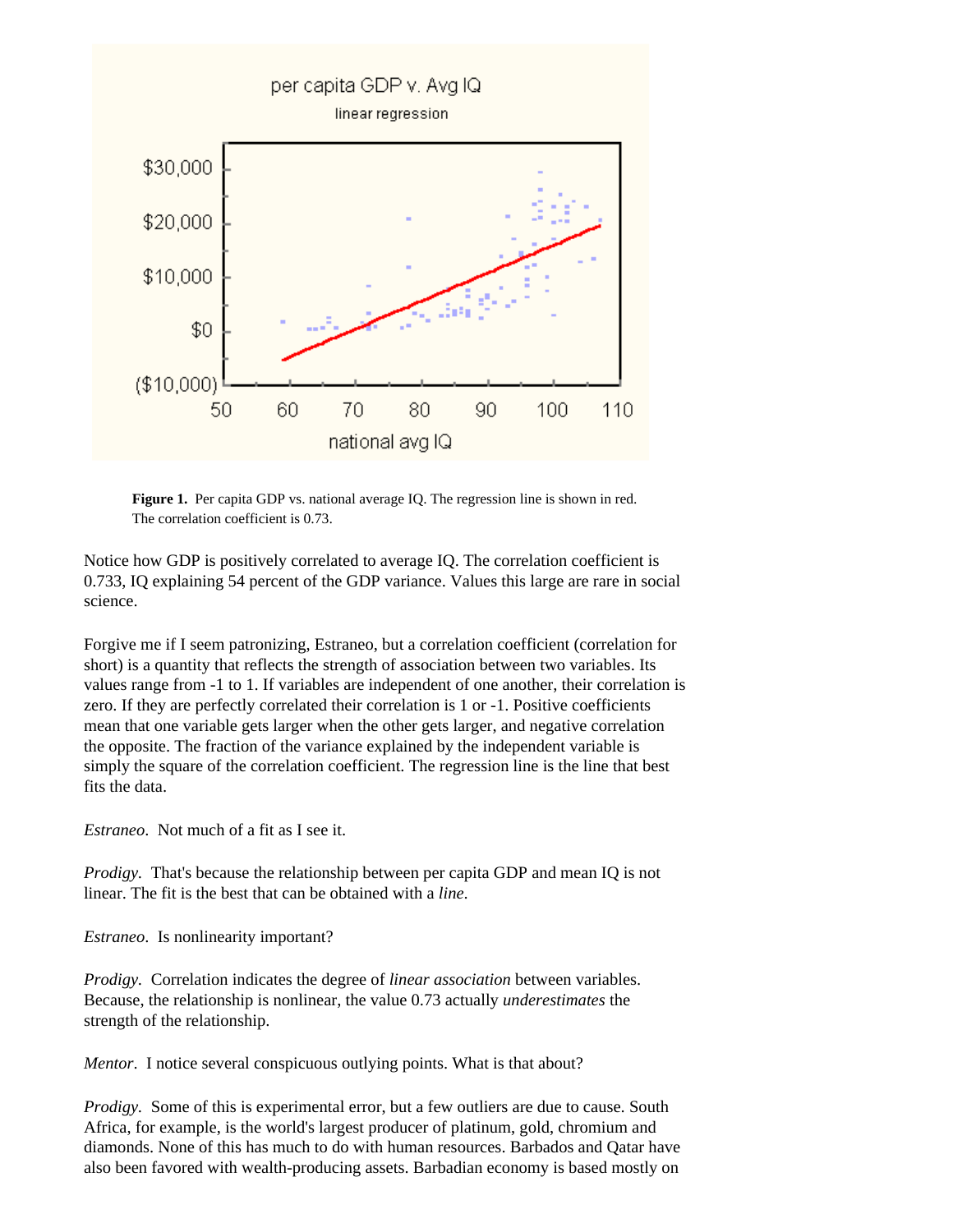

Figure 1. Per capita GDP vs. national average IQ. The regression line is shown in red. The correlation coefficient is 0.73.

Notice how GDP is positively correlated to average IQ. The correlation coefficient is 0.733, IQ explaining 54 percent of the GDP variance. Values this large are rare in social science.

Forgive me if I seem patronizing, Estraneo, but a correlation coefficient (correlation for short) is a quantity that reflects the strength of association between two variables. Its values range from -1 to 1. If variables are independent of one another, their correlation is zero. If they are perfectly correlated their correlation is 1 or -1. Positive coefficients mean that one variable gets larger when the other gets larger, and negative correlation the opposite. The fraction of the variance explained by the independent variable is simply the square of the correlation coefficient. The regression line is the line that best fits the data.

*Estraneo*. Not much of a fit as I see it.

*Prodigy.* That's because the relationship between per capita GDP and mean IQ is not linear. The fit is the best that can be obtained with a *line*.

*Estraneo*. Is nonlinearity important?

*Prodigy.* Correlation indicates the degree of *linear association* between variables. Because, the relationship is nonlinear, the value 0.73 actually *underestimates* the strength of the relationship.

*Mentor.* I notice several conspicuous outlying points. What is that about?

*Prodigy.* Some of this is experimental error, but a few outliers are due to cause. South Africa, for example, is the world's largest producer of platinum, gold, chromium and diamonds. None of this has much to do with human resources. Barbados and Qatar have also been favored with wealth-producing assets. Barbadian economy is based mostly on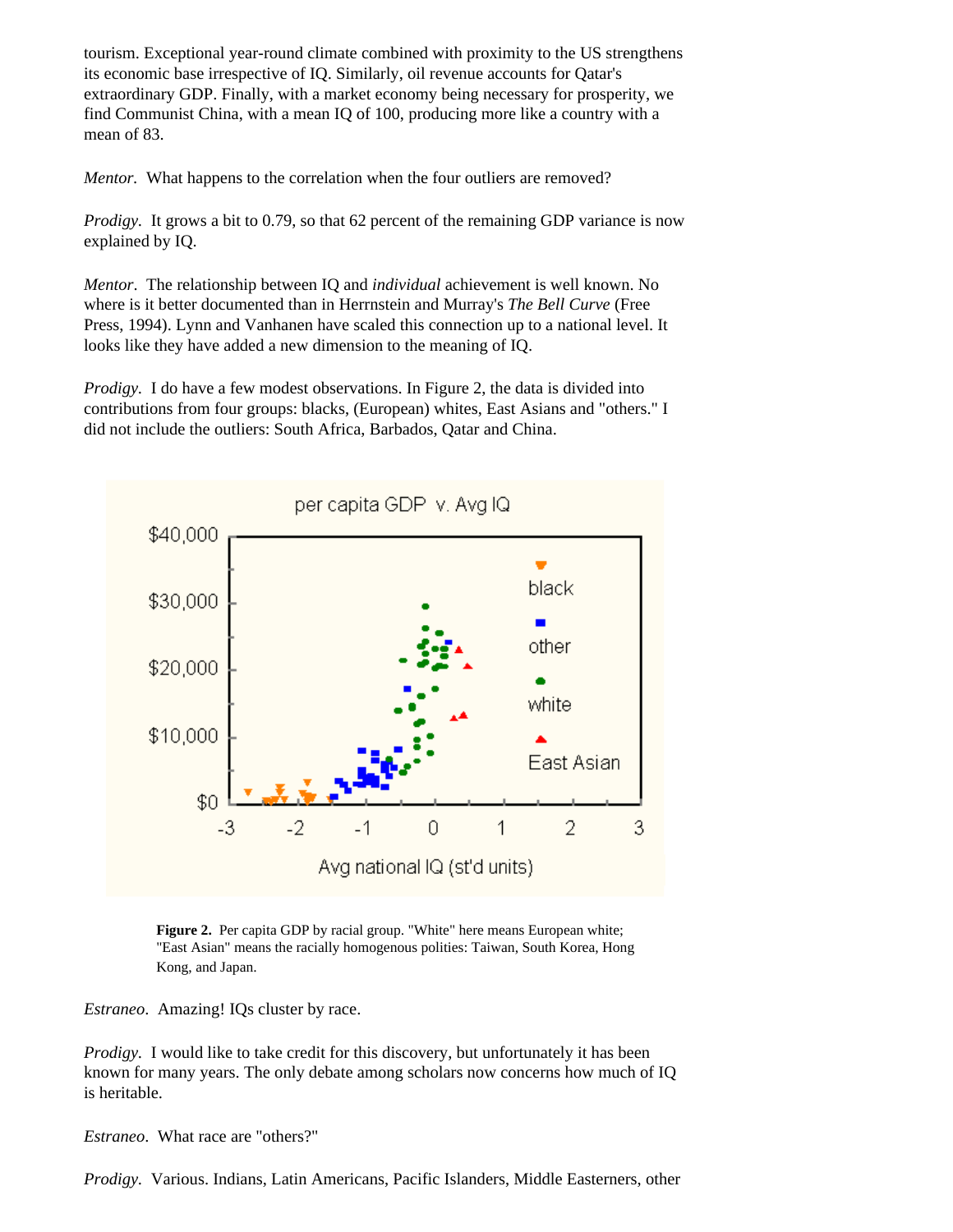tourism. Exceptional year-round climate combined with proximity to the US strengthens its economic base irrespective of IQ. Similarly, oil revenue accounts for Qatar's extraordinary GDP. Finally, with a market economy being necessary for prosperity, we find Communist China, with a mean IQ of 100, producing more like a country with a mean of 83.

*Mentor.* What happens to the correlation when the four outliers are removed?

*Prodigy.* It grows a bit to 0.79, so that 62 percent of the remaining GDP variance is now explained by IQ.

*Mentor*. The relationship between IQ and *individual* achievement is well known. No where is it better documented than in Herrnstein and Murray's *The Bell Curve* (Free Press, 1994). Lynn and Vanhanen have scaled this connection up to a national level. It looks like they have added a new dimension to the meaning of IQ.

*Prodigy.* I do have a few modest observations. In Figure 2, the data is divided into contributions from four groups: blacks, (European) whites, East Asians and "others." I did not include the outliers: South Africa, Barbados, Qatar and China.



**Figure 2.** Per capita GDP by racial group. "White" here means European white; "East Asian" means the racially homogenous polities: Taiwan, South Korea, Hong Kong, and Japan.

*Estraneo*. Amazing! IQs cluster by race.

*Prodigy.* I would like to take credit for this discovery, but unfortunately it has been known for many years. The only debate among scholars now concerns how much of IQ is heritable.

*Estraneo*. What race are "others?"

*Prodigy.* Various. Indians, Latin Americans, Pacific Islanders, Middle Easterners, other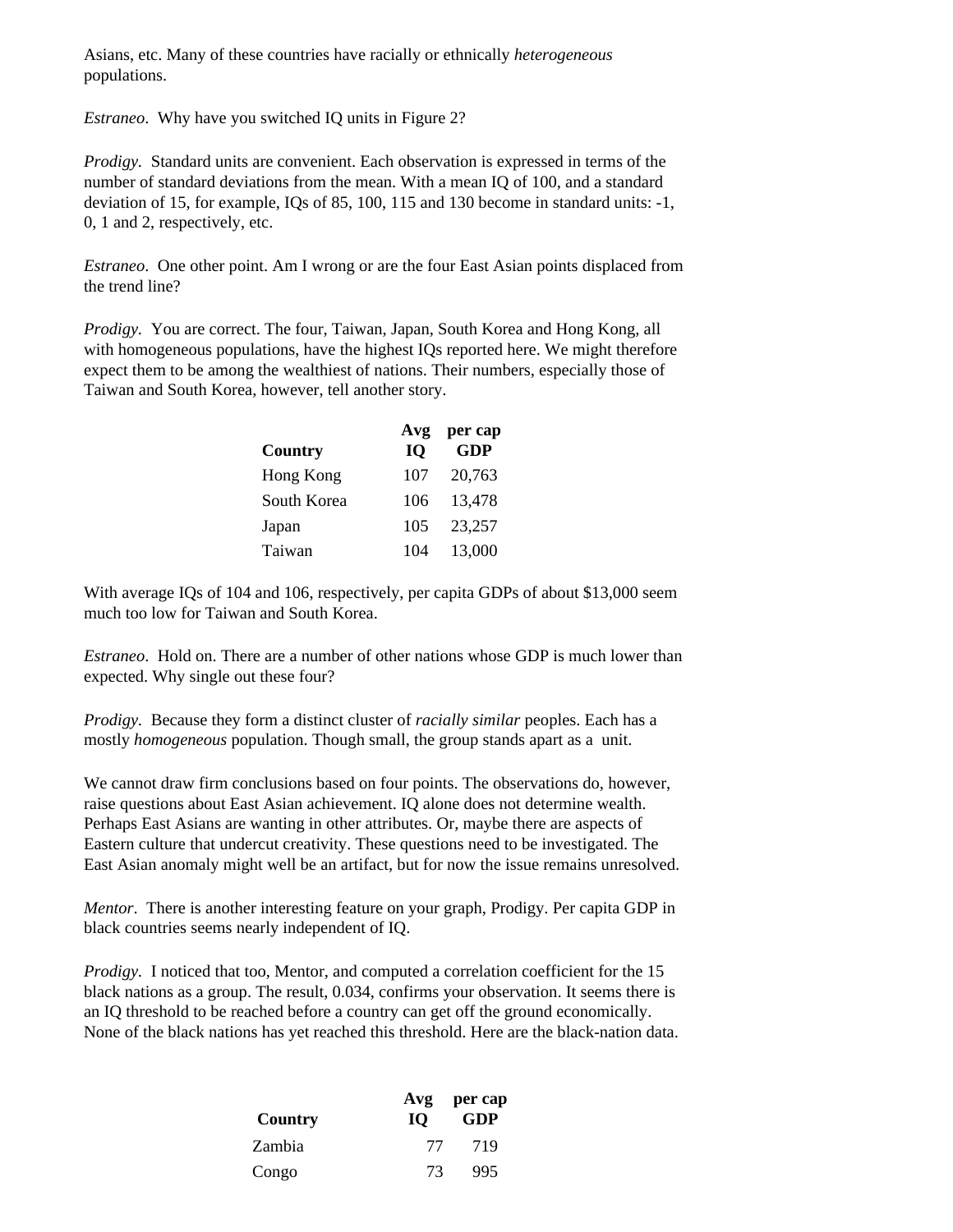Asians, etc. Many of these countries have racially or ethnically *heterogeneous* populations.

*Estraneo*. Why have you switched IQ units in Figure 2?

*Prodigy.* Standard units are convenient. Each observation is expressed in terms of the number of standard deviations from the mean. With a mean IQ of 100, and a standard deviation of 15, for example, IQs of 85, 100, 115 and 130 become in standard units: -1, 0, 1 and 2, respectively, etc.

*Estraneo*. One other point. Am I wrong or are the four East Asian points displaced from the trend line?

*Prodigy.* You are correct. The four, Taiwan, Japan, South Korea and Hong Kong, all with homogeneous populations, have the highest IQs reported here. We might therefore expect them to be among the wealthiest of nations. Their numbers, especially those of Taiwan and South Korea, however, tell another story.

|             | Avg       | per cap    |
|-------------|-----------|------------|
| Country     | <b>IQ</b> | <b>GDP</b> |
| Hong Kong   | 107       | 20,763     |
| South Korea | 106       | 13,478     |
| Japan       | 105       | 23,257     |
| Taiwan      | 104       | 13,000     |

With average IQs of 104 and 106, respectively, per capita GDPs of about \$13,000 seem much too low for Taiwan and South Korea.

*Estraneo*. Hold on. There are a number of other nations whose GDP is much lower than expected. Why single out these four?

*Prodigy.* Because they form a distinct cluster of *racially similar* peoples. Each has a mostly *homogeneous* population. Though small, the group stands apart as a unit.

We cannot draw firm conclusions based on four points. The observations do, however, raise questions about East Asian achievement. IQ alone does not determine wealth. Perhaps East Asians are wanting in other attributes. Or, maybe there are aspects of Eastern culture that undercut creativity. These questions need to be investigated. The East Asian anomaly might well be an artifact, but for now the issue remains unresolved.

*Mentor*. There is another interesting feature on your graph, Prodigy. Per capita GDP in black countries seems nearly independent of IQ.

*Prodigy.* I noticed that too, Mentor, and computed a correlation coefficient for the 15 black nations as a group. The result, 0.034, confirms your observation. It seems there is an IQ threshold to be reached before a country can get off the ground economically. None of the black nations has yet reached this threshold. Here are the black-nation data.

|         |           | Avg per cap |
|---------|-----------|-------------|
| Country | <b>IO</b> | GDP         |
| Zambia  | 77        | 719         |
| Congo   | 73        | 995         |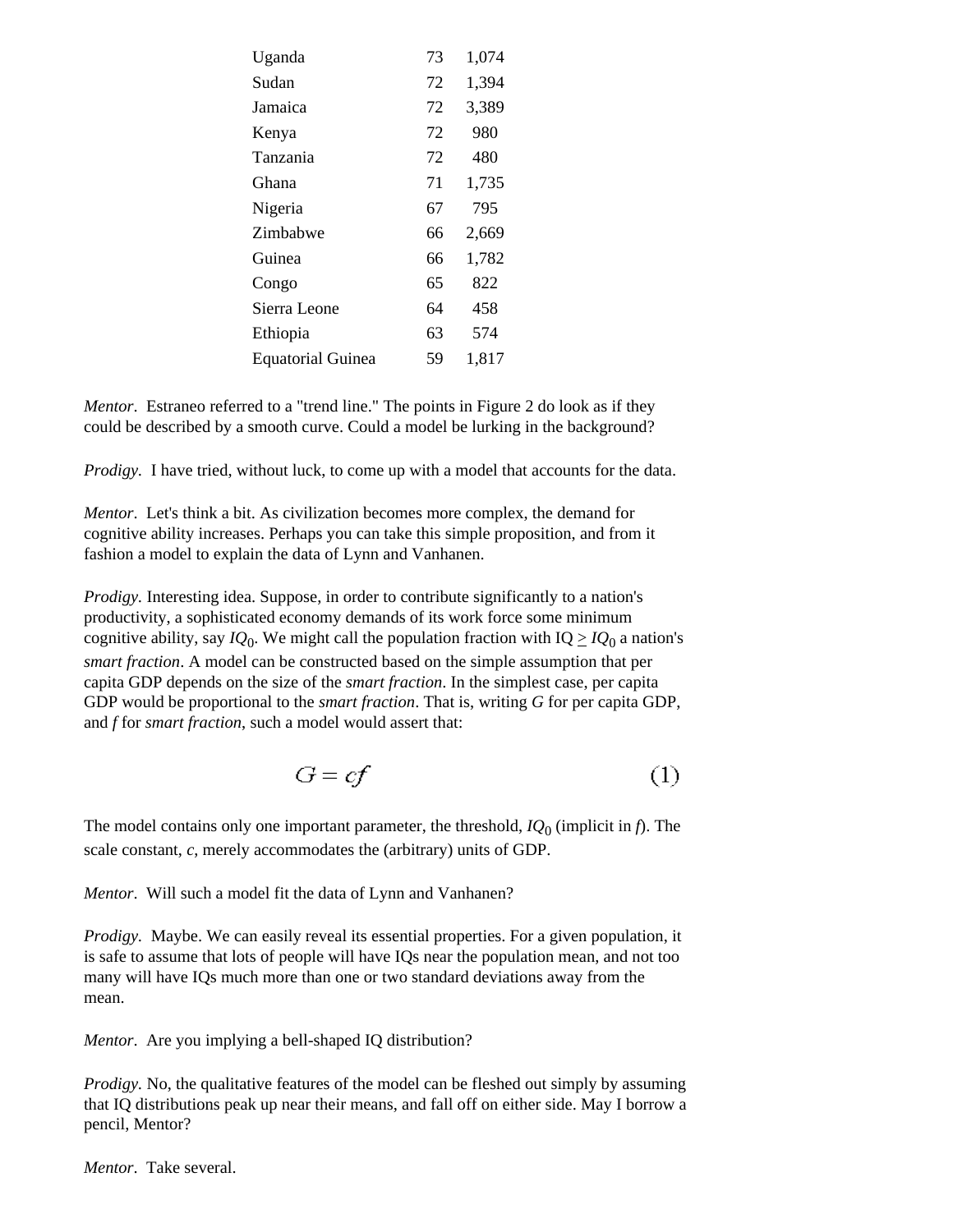| Uganda                   | 73 | 1,074 |
|--------------------------|----|-------|
| Sudan                    | 72 | 1,394 |
| Jamaica                  | 72 | 3,389 |
| Kenya                    | 72 | 980   |
| Tanzania                 | 72 | 480   |
| Ghana                    | 71 | 1,735 |
| Nigeria                  | 67 | 795   |
| Zimbabwe                 | 66 | 2,669 |
| Guinea                   | 66 | 1,782 |
| Congo                    | 65 | 822   |
| Sierra Leone             | 64 | 458   |
| Ethiopia                 | 63 | 574   |
| <b>Equatorial Guinea</b> | 59 | 1,817 |

*Mentor*. Estraneo referred to a "trend line." The points in Figure 2 do look as if they could be described by a smooth curve. Could a model be lurking in the background?

*Prodigy.* I have tried, without luck, to come up with a model that accounts for the data.

*Mentor*. Let's think a bit. As civilization becomes more complex, the demand for cognitive ability increases. Perhaps you can take this simple proposition, and from it fashion a model to explain the data of Lynn and Vanhanen.

*Prodigy.* Interesting idea. Suppose, in order to contribute significantly to a nation's productivity, a sophisticated economy demands of its work force some minimum cognitive ability, say  $IQ_0$ . We might call the population fraction with  $IQ \ge IQ_0$  a nation's *smart fraction*. A model can be constructed based on the simple assumption that per capita GDP depends on the size of the *smart fraction*. In the simplest case, per capita GDP would be proportional to the *smart fraction*. That is, writing *G* for per capita GDP, and *f* for *smart fraction*, such a model would assert that:

$$
G = cf \tag{1}
$$

The model contains only one important parameter, the threshold, *IQ*0 (implicit in *f*). The scale constant, *c*, merely accommodates the (arbitrary) units of GDP.

*Mentor*. Will such a model fit the data of Lynn and Vanhanen?

*Prodigy.* Maybe. We can easily reveal its essential properties. For a given population, it is safe to assume that lots of people will have IQs near the population mean, and not too many will have IQs much more than one or two standard deviations away from the mean.

*Mentor*. Are you implying a bell-shaped IQ distribution?

*Prodigy.* No, the qualitative features of the model can be fleshed out simply by assuming that IQ distributions peak up near their means, and fall off on either side. May I borrow a pencil, Mentor?

*Mentor*. Take several.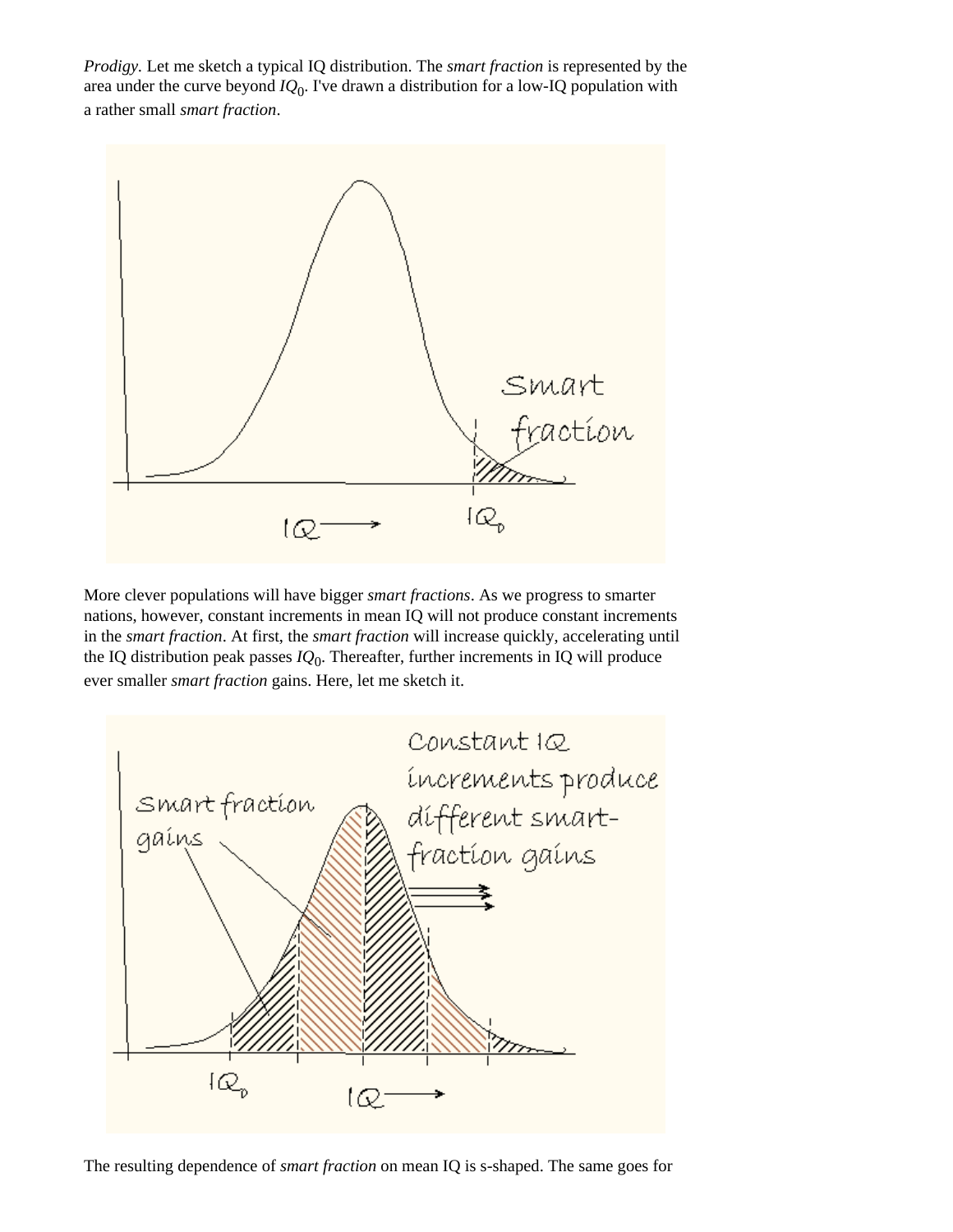*Prodigy.* Let me sketch a typical IQ distribution. The *smart fraction* is represented by the area under the curve beyond  $IQ_0$ . I've drawn a distribution for a low-IQ population with a rather small *smart fraction*.



More clever populations will have bigger *smart fractions*. As we progress to smarter nations, however, constant increments in mean IQ will not produce constant increments in the *smart fraction*. At first, the *smart fraction* will increase quickly, accelerating until the IQ distribution peak passes *IQ*0. Thereafter, further increments in IQ will produce ever smaller *smart fraction* gains. Here, let me sketch it.



The resulting dependence of *smart fraction* on mean IQ is s-shaped. The same goes for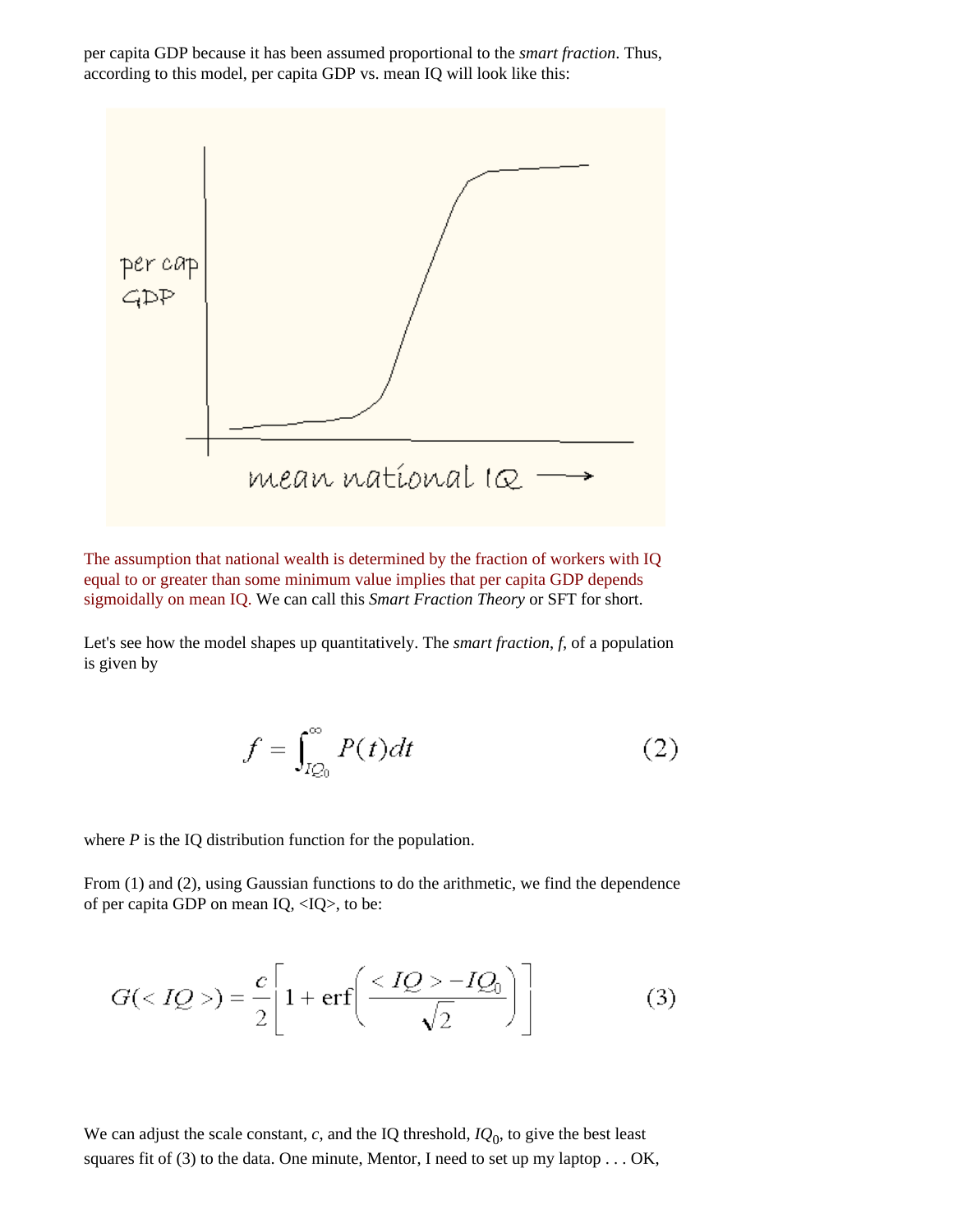per capita GDP because it has been assumed proportional to the *smart fraction*. Thus, according to this model, per capita GDP vs. mean IQ will look like this:



The assumption that national wealth is determined by the fraction of workers with IQ equal to or greater than some minimum value implies that per capita GDP depends sigmoidally on mean IQ. We can call this *Smart Fraction Theory* or SFT for short.

Let's see how the model shapes up quantitatively. The *smart fraction*, *f*, of a population is given by

$$
f = \int_{IQ_0}^{\infty} P(t)dt
$$
 (2)

where *P* is the IQ distribution function for the population.

From (1) and (2), using Gaussian functions to do the arithmetic, we find the dependence of per capita GDP on mean IQ, <IQ>, to be:

$$
G() = \frac{c}{2} \left[ 1 + \text{erf} \left( \frac{ - IQ_0}{\sqrt{2}} \right) \right]
$$
(3)

We can adjust the scale constant,  $c$ , and the IQ threshold,  $IQ_0$ , to give the best least squares fit of  $(3)$  to the data. One minute, Mentor, I need to set up my laptop . . . OK,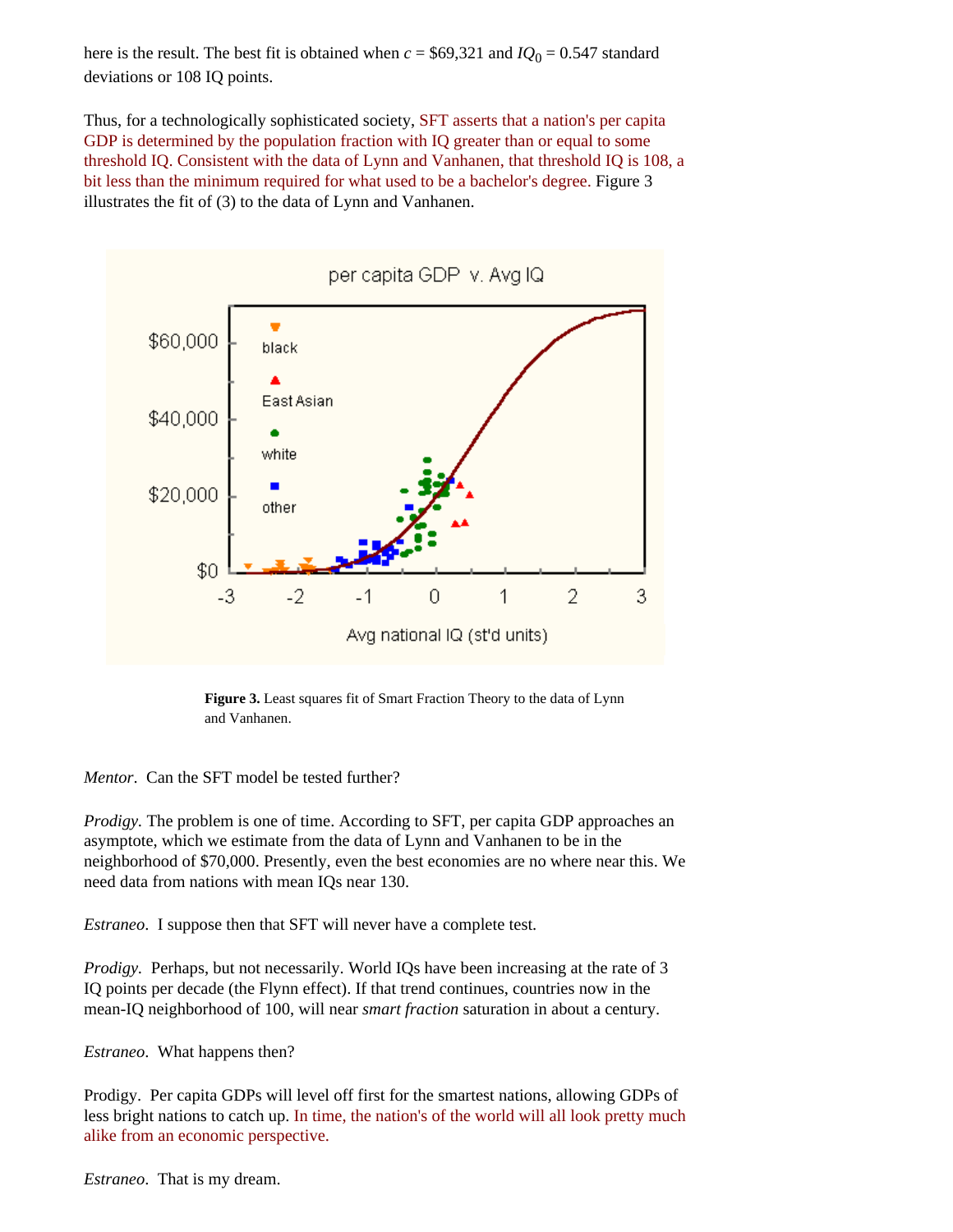here is the result. The best fit is obtained when  $c = $69,321$  and  $IQ_0 = 0.547$  standard deviations or 108 IQ points.

Thus, for a technologically sophisticated society, SFT asserts that a nation's per capita GDP is determined by the population fraction with IQ greater than or equal to some threshold IQ. Consistent with the data of Lynn and Vanhanen, that threshold IQ is 108, a bit less than the minimum required for what used to be a bachelor's degree. Figure 3 illustrates the fit of (3) to the data of Lynn and Vanhanen.



**Figure 3.** Least squares fit of Smart Fraction Theory to the data of Lynn and Vanhanen.

*Mentor*. Can the SFT model be tested further?

*Prodigy.* The problem is one of time. According to SFT, per capita GDP approaches an asymptote, which we estimate from the data of Lynn and Vanhanen to be in the neighborhood of \$70,000. Presently, even the best economies are no where near this. We need data from nations with mean IQs near 130.

*Estraneo*. I suppose then that SFT will never have a complete test.

*Prodigy.* Perhaps, but not necessarily. World IQs have been increasing at the rate of 3 IQ points per decade (the Flynn effect). If that trend continues, countries now in the mean-IQ neighborhood of 100, will near *smart fraction* saturation in about a century.

*Estraneo*. What happens then?

Prodigy. Per capita GDPs will level off first for the smartest nations, allowing GDPs of less bright nations to catch up. In time, the nation's of the world will all look pretty much alike from an economic perspective.

*Estraneo*. That is my dream.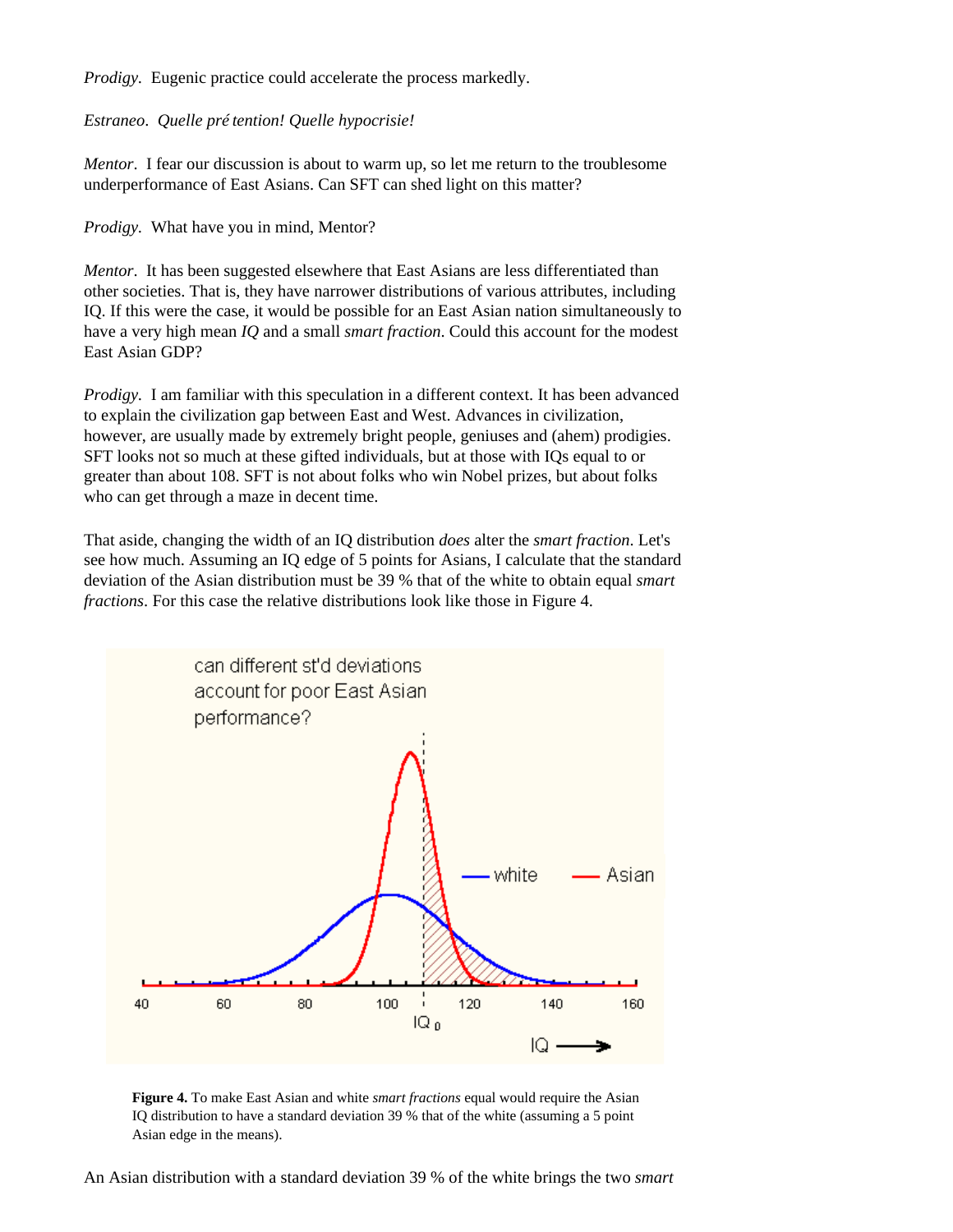*Prodigy.* Eugenic practice could accelerate the process markedly.

## *Estraneo*. *Quelle prétention! Quelle hypocrisie!*

*Mentor*. I fear our discussion is about to warm up, so let me return to the troublesome underperformance of East Asians. Can SFT can shed light on this matter?

*Prodigy.* What have you in mind, Mentor?

*Mentor*. It has been suggested elsewhere that East Asians are less differentiated than other societies. That is, they have narrower distributions of various attributes, including IQ. If this were the case, it would be possible for an East Asian nation simultaneously to have a very high mean *IQ* and a small *smart fraction*. Could this account for the modest East Asian GDP?

*Prodigy.* I am familiar with this speculation in a different context. It has been advanced to explain the civilization gap between East and West. Advances in civilization, however, are usually made by extremely bright people, geniuses and (ahem) prodigies. SFT looks not so much at these gifted individuals, but at those with IQs equal to or greater than about 108. SFT is not about folks who win Nobel prizes, but about folks who can get through a maze in decent time.

That aside, changing the width of an IQ distribution *does* alter the *smart fraction*. Let's see how much. Assuming an IQ edge of 5 points for Asians, I calculate that the standard deviation of the Asian distribution must be 39 % that of the white to obtain equal *smart fractions*. For this case the relative distributions look like those in Figure 4.



**Figure 4.** To make East Asian and white *smart fractions* equal would require the Asian IQ distribution to have a standard deviation 39 % that of the white (assuming a 5 point Asian edge in the means).

An Asian distribution with a standard deviation 39 % of the white brings the two *smart*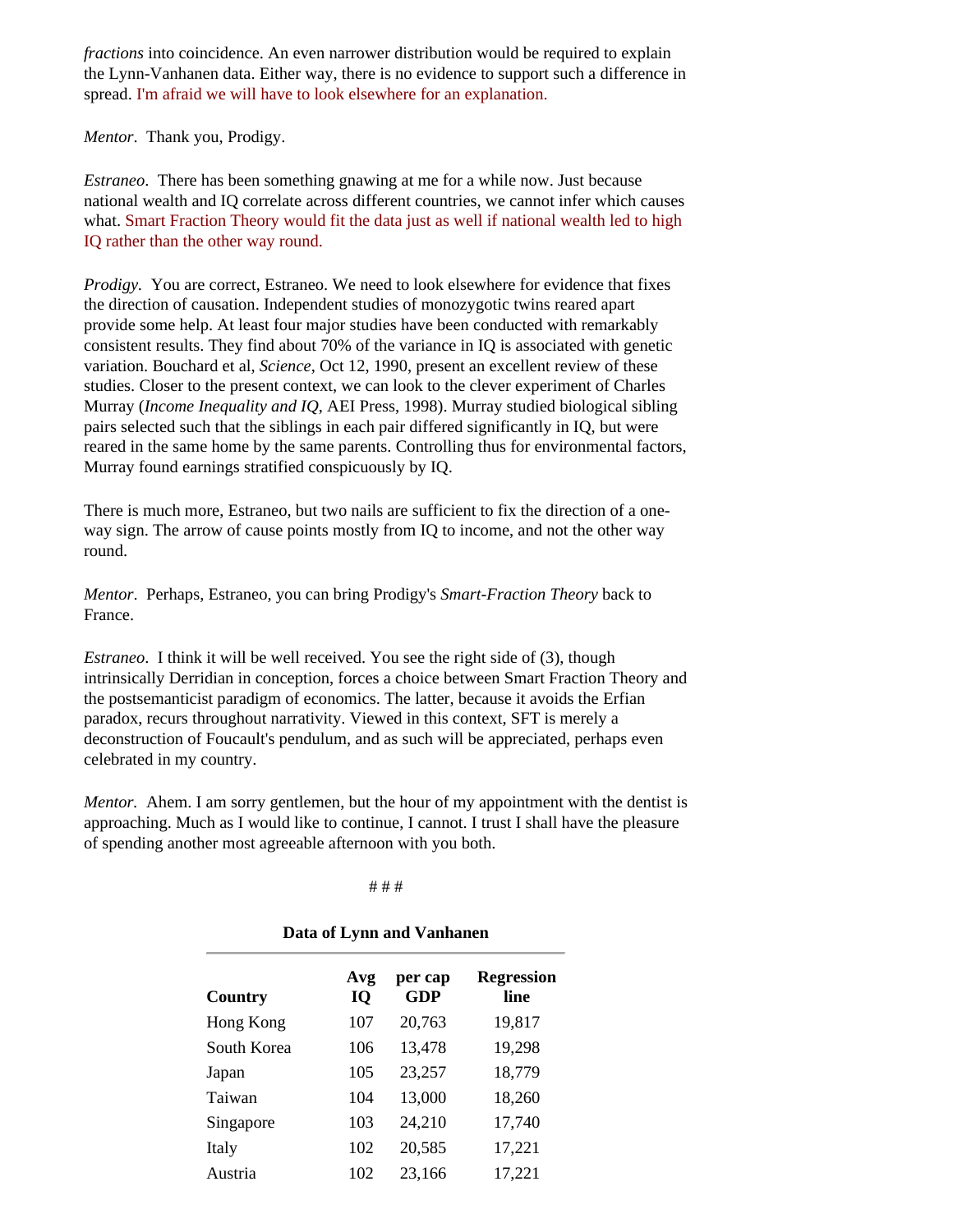*fractions* into coincidence. An even narrower distribution would be required to explain the Lynn-Vanhanen data. Either way, there is no evidence to support such a difference in spread. I'm afraid we will have to look elsewhere for an explanation.

*Mentor*. Thank you, Prodigy.

*Estraneo*. There has been something gnawing at me for a while now. Just because national wealth and IQ correlate across different countries, we cannot infer which causes what. Smart Fraction Theory would fit the data just as well if national wealth led to high IQ rather than the other way round.

*Prodigy.* You are correct, Estraneo. We need to look elsewhere for evidence that fixes the direction of causation. Independent studies of monozygotic twins reared apart provide some help. At least four major studies have been conducted with remarkably consistent results. They find about 70% of the variance in IQ is associated with genetic variation. Bouchard et al, *Science*, Oct 12, 1990, present an excellent review of these studies. Closer to the present context, we can look to the clever experiment of Charles Murray (*Income Inequality and IQ*, AEI Press, 1998). Murray studied biological sibling pairs selected such that the siblings in each pair differed significantly in IQ, but were reared in the same home by the same parents. Controlling thus for environmental factors, Murray found earnings stratified conspicuously by IQ.

There is much more, Estraneo, but two nails are sufficient to fix the direction of a oneway sign. The arrow of cause points mostly from IQ to income, and not the other way round.

*Mentor*. Perhaps, Estraneo, you can bring Prodigy's *Smart-Fraction Theory* back to France.

*Estraneo*. I think it will be well received. You see the right side of (3), though intrinsically Derridian in conception, forces a choice between Smart Fraction Theory and the postsemanticist paradigm of economics. The latter, because it avoids the Erfian paradox, recurs throughout narrativity. Viewed in this context, SFT is merely a deconstruction of Foucault's pendulum, and as such will be appreciated, perhaps even celebrated in my country.

<span id="page-9-0"></span>*Mentor.* Ahem. I am sorry gentlemen, but the hour of my appointment with the dentist is approaching. Much as I would like to continue, I cannot. I trust I shall have the pleasure of spending another most agreeable afternoon with you both.

#### # # #

### **Data of Lynn and Vanhanen**

| Country     | Avg<br><b>IQ</b> | per cap<br><b>GDP</b> | <b>Regression</b><br>line |
|-------------|------------------|-----------------------|---------------------------|
| Hong Kong   | 107              | 20,763                | 19,817                    |
| South Korea | 106              | 13,478                | 19,298                    |
| Japan       | 105              | 23,257                | 18,779                    |
| Taiwan      | 104              | 13,000                | 18,260                    |
| Singapore   | 103              | 24,210                | 17,740                    |
| Italy       | 102              | 20,585                | 17,221                    |
| Austria     | 102              | 23,166                | 17,221                    |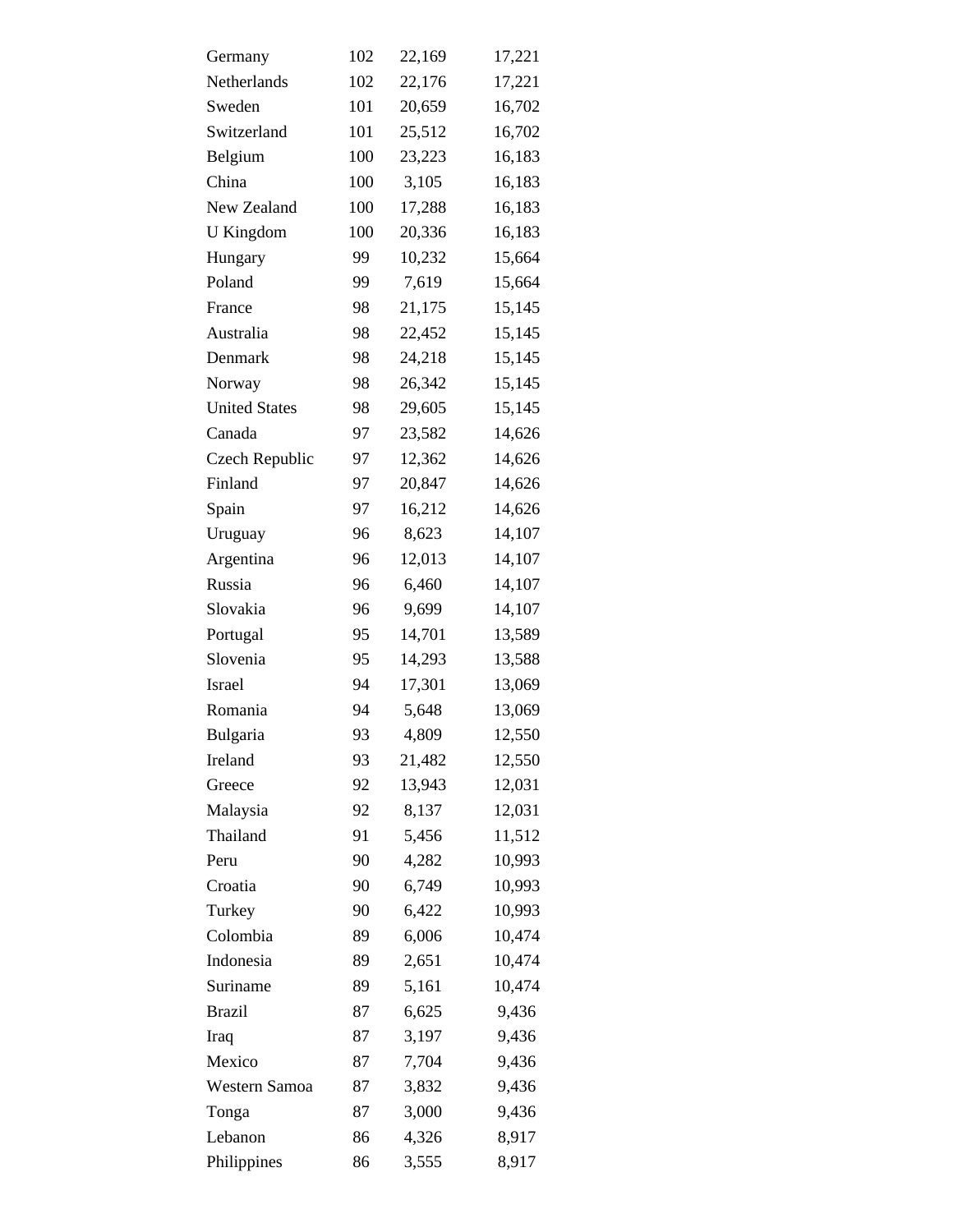| Germany              | 102 | 22,169 | 17,221 |
|----------------------|-----|--------|--------|
| Netherlands          | 102 | 22,176 | 17,221 |
| Sweden               | 101 | 20,659 | 16,702 |
| Switzerland          | 101 | 25,512 | 16,702 |
| Belgium              | 100 | 23,223 | 16,183 |
| China                | 100 | 3,105  | 16,183 |
| New Zealand          | 100 | 17,288 | 16,183 |
| <b>U</b> Kingdom     | 100 | 20,336 | 16,183 |
| Hungary              | 99  | 10,232 | 15,664 |
| Poland               | 99  | 7,619  | 15,664 |
| France               | 98  | 21,175 | 15,145 |
| Australia            | 98  | 22,452 | 15,145 |
| Denmark              | 98  | 24,218 | 15,145 |
| Norway               | 98  | 26,342 | 15,145 |
| <b>United States</b> | 98  | 29,605 | 15,145 |
| Canada               | 97  | 23,582 | 14,626 |
| Czech Republic       | 97  | 12,362 | 14,626 |
| Finland              | 97  | 20,847 | 14,626 |
| Spain                | 97  | 16,212 | 14,626 |
| Uruguay              | 96  | 8,623  | 14,107 |
| Argentina            | 96  | 12,013 | 14,107 |
| Russia               | 96  | 6,460  | 14,107 |
| Slovakia             | 96  | 9,699  | 14,107 |
| Portugal             | 95  | 14,701 | 13,589 |
| Slovenia             | 95  | 14,293 | 13,588 |
| <b>Israel</b>        | 94  | 17,301 | 13,069 |
| Romania              | 94  | 5,648  | 13,069 |
| Bulgaria             | 93  | 4,809  | 12,550 |
| Ireland              | 93  | 21,482 | 12,550 |
| Greece               | 92  | 13,943 | 12,031 |
| Malaysia             | 92  | 8,137  | 12,031 |
| Thailand             | 91  | 5,456  | 11,512 |
| Peru                 | 90  | 4,282  | 10,993 |
| Croatia              | 90  | 6,749  | 10,993 |
| Turkey               | 90  | 6,422  | 10,993 |
| Colombia             | 89  | 6,006  | 10,474 |
| Indonesia            | 89  | 2,651  | 10,474 |
| Suriname             | 89  | 5,161  | 10,474 |
| <b>Brazil</b>        | 87  | 6,625  | 9,436  |
| Iraq                 | 87  | 3,197  | 9,436  |
| Mexico               | 87  | 7,704  | 9,436  |
| Western Samoa        | 87  | 3,832  | 9,436  |
| Tonga                | 87  | 3,000  | 9,436  |
| Lebanon              | 86  | 4,326  | 8,917  |
| Philippines          | 86  | 3,555  | 8,917  |